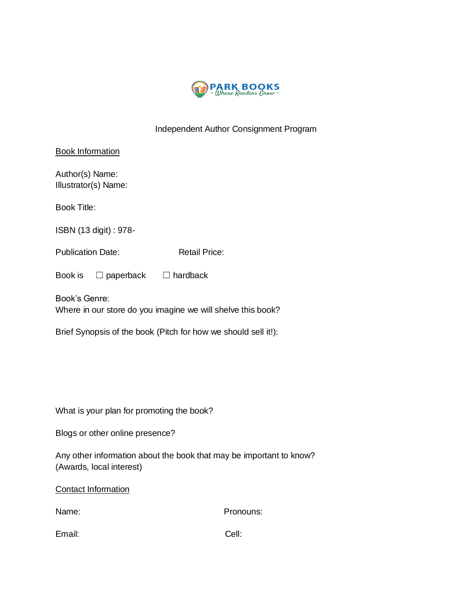

## Independent Author Consignment Program

| <b>Book Information</b>                 |                                  |                      |  |
|-----------------------------------------|----------------------------------|----------------------|--|
| Author(s) Name:<br>Illustrator(s) Name: |                                  |                      |  |
| <b>Book Title:</b>                      |                                  |                      |  |
| ISBN (13 digit) : 978-                  |                                  |                      |  |
| <b>Publication Date:</b>                |                                  | <b>Retail Price:</b> |  |
| Book is                                 | $\Box$ paperback $\Box$ hardback |                      |  |
| Book's Genre:                           |                                  |                      |  |

Where in our store do you imagine we will shelve this book?

Brief Synopsis of the book (Pitch for how we should sell it!):

What is your plan for promoting the book?

Blogs or other online presence?

Any other information about the book that may be important to know? (Awards, local interest)

Contact Information

Name: Pronouns:

Email: Cell: